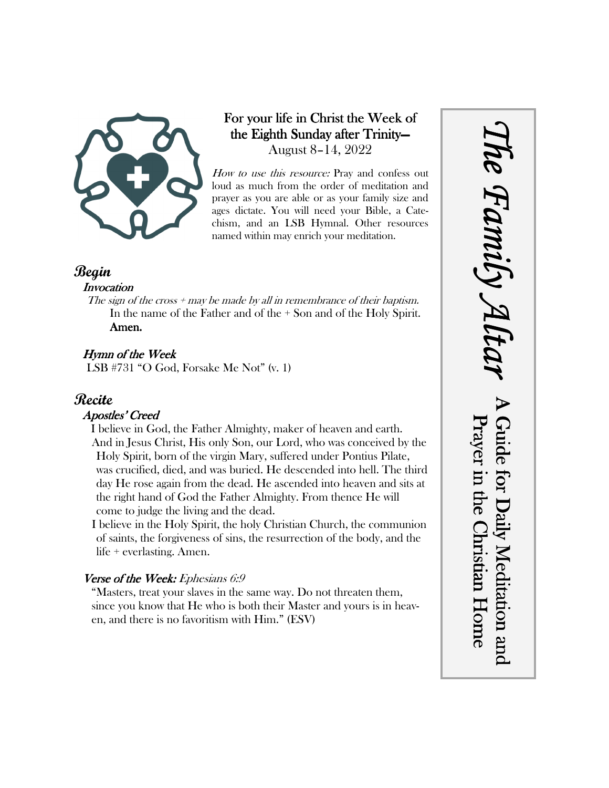

## For your life in Christ the Week of the Eighth Sunday after Trinity— August 8–14, 2022

How to use this resource: Pray and confess out loud as much from the order of meditation and prayer as you are able or as your family size and ages dictate. You will need your Bible, a Catechism, and an LSB Hymnal. Other resources named within may enrich your meditation.

## **Begin**

#### **Invocation**

The sign of the cross  $+$  may be made by all in remembrance of their baptism. In the name of the Father and of the + Son and of the Holy Spirit. Amen.

## Hymn of the Week

LSB #731 "O God, Forsake Me Not" (v. 1)

## **Recite**

### Apostles' Creed

I believe in God, the Father Almighty, maker of heaven and earth. And in Jesus Christ, His only Son, our Lord, who was conceived by the Holy Spirit, born of the virgin Mary, suffered under Pontius Pilate, was crucified, died, and was buried. He descended into hell. The third day He rose again from the dead. He ascended into heaven and sits at the right hand of God the Father Almighty. From thence He will come to judge the living and the dead.

I believe in the Holy Spirit, the holy Christian Church, the communion of saints, the forgiveness of sins, the resurrection of the body, and the life + everlasting. Amen.

### Verse of the Week: Ephesians 6:9

"Masters, treat your slaves in the same way. Do not threaten them, since you know that He who is both their Master and yours is in heaven, and there is no favoritism with Him." (ESV)

*The Family Altar* he Family A A Guide for Daily Meditation and Prayer in the Christian Home Guide for Daily Meditation and Prayer in the Christian Home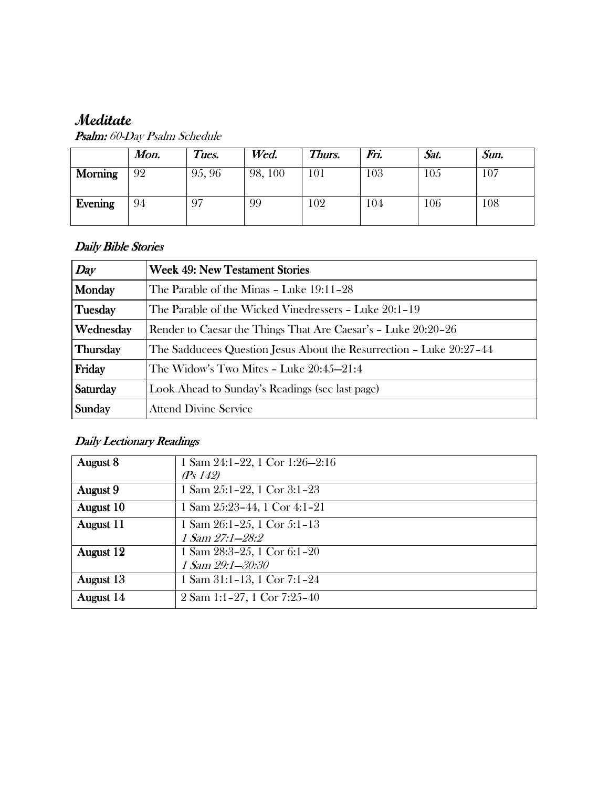# **Meditate**

|                | Mon. | Tues.  | Wed.    | Thurs. | Fri. | Sat. | Sun. |
|----------------|------|--------|---------|--------|------|------|------|
| <b>Morning</b> | 92   | 95, 96 | 98, 100 | 101    | 103  | 105  | 107  |
| Evening        | 94   | 97     | 99      | 102    | 104  | 106  | 108  |

Psalm: 60-Day Psalm Schedule

### Daily Bible Stories

| Day             | <b>Week 49: New Testament Stories</b>                               |  |  |  |
|-----------------|---------------------------------------------------------------------|--|--|--|
| Monday          | The Parable of the Minas - Luke 19:11-28                            |  |  |  |
| Tuesday         | The Parable of the Wicked Vinedressers - Luke 20:1-19               |  |  |  |
| Wednesday       | Render to Caesar the Things That Are Caesar's - Luke 20:20-26       |  |  |  |
| <b>Thursday</b> | The Sadducees Question Jesus About the Resurrection – Luke 20:27–44 |  |  |  |
| Friday          | The Widow's Two Mites - Luke $20:45-21:4$                           |  |  |  |
| Saturday        | Look Ahead to Sunday's Readings (see last page)                     |  |  |  |
| Sunday          | <b>Attend Divine Service</b>                                        |  |  |  |

## Daily Lectionary Readings

| August 8  | 1 Sam $24:1-22$ , 1 Cor $1:26-2:16$             |
|-----------|-------------------------------------------------|
|           | (Ps 142)                                        |
| August 9  | 1 Sam $25:1-22$ , 1 Cor $3:1-23$                |
| August 10 | 1 Sam 25:23-44, 1 Cor 4:1-21                    |
| August 11 | 1 Sam $26:1-25$ , 1 Cor 5:1-13                  |
|           | 1 Sam 27:1-28:2                                 |
| August 12 | 1 Sam $28:3-25$ , 1 Cor 6:1-20                  |
|           | 1 Sam 29:1-30:30                                |
| August 13 | 1 Sam 31:1-13, 1 Cor 7:1-24                     |
| August 14 | $2 \text{ Sam } 1:1-27, 1 \text{ Cor } 7:25-40$ |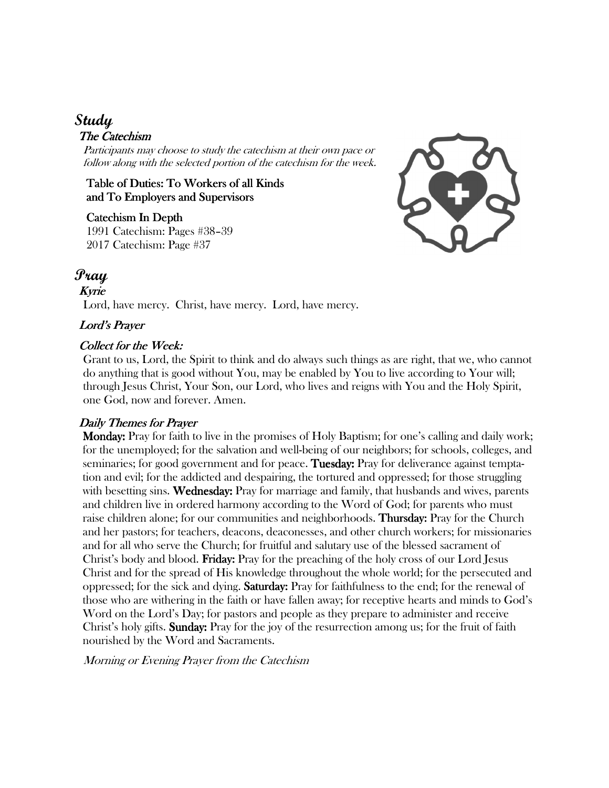## **Study**

#### The Catechism

Participants may choose to study the catechism at their own pace or follow along with the selected portion of the catechism for the week.

Table of Duties: To Workers of all Kinds and To Employers and Supervisors

#### Catechism In Depth

1991 Catechism: Pages #38–39 2017 Catechism: Page #37



## **Pray**

#### Kyrie

Lord, have mercy. Christ, have mercy. Lord, have mercy.

#### Lord's Prayer

#### Collect for the Week:

Grant to us, Lord, the Spirit to think and do always such things as are right, that we, who cannot do anything that is good without You, may be enabled by You to live according to Your will; through Jesus Christ, Your Son, our Lord, who lives and reigns with You and the Holy Spirit, one God, now and forever. Amen.

#### Daily Themes for Prayer

 Monday: Monday: Pray for faith to live in the promises of Holy Baptism; for one's calling and daily work; for the unemployed; for the salvation and well-being of our neighbors; for schools, colleges, and seminaries; for good government and for peace. Tuesday: Pray for deliverance against temptation and evil; for the addicted and despairing, the tortured and oppressed; for those struggling with besetting sins. Wednesday: Pray for marriage and family, that husbands and wives, parents and children live in ordered harmony according to the Word of God; for parents who must raise children alone; for our communities and neighborhoods. **Thursday:** Pray for the Church and her pastors; for teachers, deacons, deaconesses, and other church workers; for missionaries and for all who serve the Church; for fruitful and salutary use of the blessed sacrament of Christ's body and blood. **Friday:** Pray for the preaching of the holy cross of our Lord Jesus Christ and for the spread of His knowledge throughout the whole world; for the persecuted and oppressed; for the sick and dying. **Saturday:** Pray for faithfulness to the end; for the renewal of those who are withering in the faith or have fallen away; for receptive hearts and minds to God's Word on the Lord's Day; for pastors and people as they prepare to administer and receive Christ's holy gifts. **Sunday:** Pray for the joy of the resurrection among us; for the fruit of faith nourished by the Word and Sacraments.

Morning or Evening Prayer from the Catechism